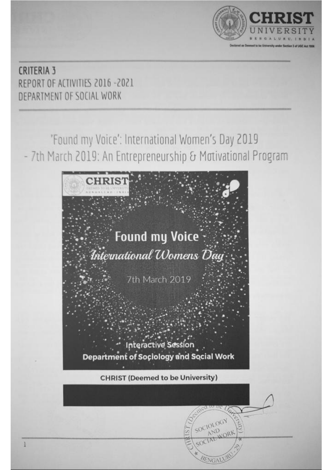

## **CRITERIA 3** REPORT OF ACTIVITIES 2016 -2021 DEPARTMENT OF SOCIAL WORK

'Found my Voice': International Women's Day 2019 - 7th March 2019: An Entrepreneurship & Motivational Program



ENGA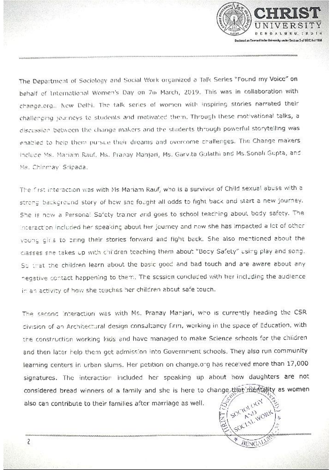**DENGAL** Declared as Desmed to be University under Section 3 of UCC Act 1956

The Department of Sociology and Social Work organized a Talk Series "Found my Voice" on behalf of International Women's Day on 7th March, 2019. This was in collaboration with change.org.. Now Delhi. The talk series of women with inspiring stories narrated their challenging journeys to students and motivated them. Through these motivational talks, a discussion between the change makers and the students through powerful storytelling was enabled to help them pursue their dreams and overcome challenges. The Change makers Include Ms. Mariam Rauf, Ms. Pranay Manjari, Ms. Garvita Gulathi and Ms.Sonali Gupta, and Ms. Chinmay' Sripada.

The first interaction was with Ms Mariam Rauf, who is a survivor of Child sexual abuse with a strong background story of how sne fought all odds to fight back and start a new journey. She is now a Personal Safety trainer and goes to school teaching about body safety. The interaction included her speaking about her journey and how she has impacted a lot of other young girls to oring their stories forward and fight back. She also mentioned about the classes sne takes up with children teaching them about "Body Safety" using play and song. So that the children learn about the basic good and bad touch and are aware about any negative contact happening to them. The session concluded with her including the audience in an activity of how she teaches her children about safe touch.

The second interaction was with Ms. Pranay Manjari, who is currently heading the CSR division of an Architectural design consultancy firm, working in the space of Education, with the construction working kids and have managed to make Science schools for the children and then later help them get admission into Government schools. They also run community learning centers in urban slums. Her petition on change.org has received more than 17,000 signatures. The interaction included her speaking up about how daughters are not considered bread winners of a family and she is here to change that mention as women also can contribute to their families after marriage as well.

WORK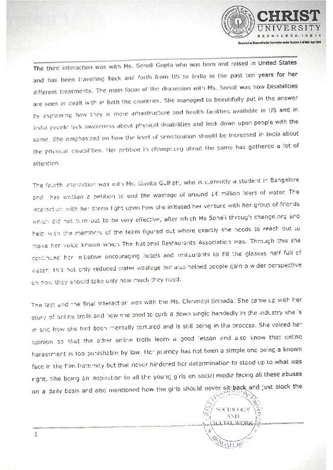

The third interaction was with Ms. Sonali Gupta who was born and raised in United States and has been travelling back and forth from US to India in the past ten years for her different treatments. The main focus of the discussion with Ms. Sonali was how Disabilities are seen or dealt with in both the countries. She managed to beautifully put in the answer by explaining how they is more infrastructure and health facilities available in US and in India people leck awareness about physical disabilities and look down upon people with the same. She emphasized on how the level of sensitization should be increased in India about the physical disabilities. Her petition in change.org about the same has gathered a lot of attention.

The fourth interaction was with Ms. Gavita Gulhati, who is currently a student in Bangalore and thas written a petition to end the wastage of around 14 million liters of water. The interaction with her threw light upon how she initiated her venture with her group of friends which did not turn out to be very effective, after which Ms Sonali through change,org and help with the members of the team figured out where exactly she needs to reach out to make her voice known which The National Restaurants Association was. Through this she continued her initiative encouraging hotels and restaurants to fill the glasses half full of water; this not only reduced water wastage but also helped people gain a wider perspective on how they should take only now much they need.

The last and the final interaction was with the Ms. Chinmayi Sribada. She came up with her story of online trolls and how she tried to curb it down single handedly in the industry she is in and how she had been mentally tortured and is still being in the process. She voiced her opinion so that the other online trolls learn a good 'esson and also know that online harassment is too punishable by law. Her journey has not been a simple one being a known face in the film fraternity but that never hindered her determination to stand up to what was right. She being an inspiration to all the young girls on social media facing all these abuses on a daily basis and also mentioned how the girls should never sit back and just block the



3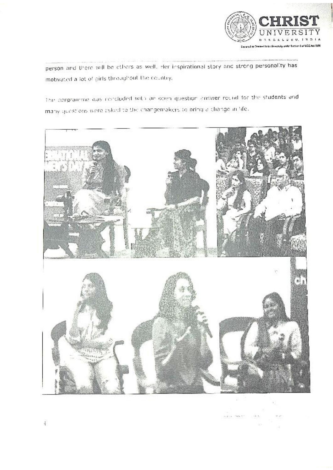

person and there will be others as well, Her inspirational story and strong personality has motivated a lot of girls throughout the country,

The porgramme was concluded with an open question answer round for the students and many questions were asked to the changemakers to bring a change in life.

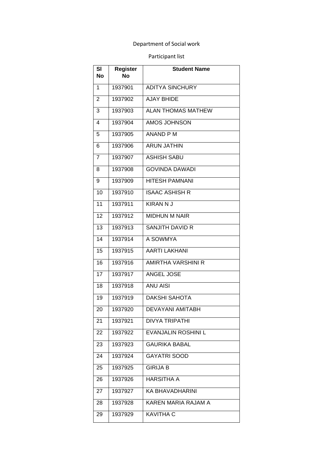## Department of Social work

## Participant list

| SI<br><b>No</b> | <b>Register</b><br>N٥ | <b>Student Name</b>        |
|-----------------|-----------------------|----------------------------|
| 1               | 1937901               | <b>ADITYA SINCHURY</b>     |
| 2               | 1937902               | <b>AJAY BHIDE</b>          |
| 3               | 1937903               | <b>ALAN THOMAS MATHEW</b>  |
| 4               | 1937904               | AMOS JOHNSON               |
| 5               | 1937905               | <b>ANAND P M</b>           |
| 6               | 1937906               | <b>ARUN JATHIN</b>         |
| 7               | 1937907               | <b>ASHISH SABU</b>         |
| 8               | 1937908               | <b>GOVINDA DAWADI</b>      |
| 9               | 1937909               | <b>HITESH PAMNANI</b>      |
| 10              | 1937910               | <b>ISAAC ASHISH R</b>      |
| 11              | 1937911               | <b>KIRAN N J</b>           |
| 12              | 1937912               | <b>MIDHUN M NAIR</b>       |
| 13              | 1937913               | <b>SANJITH DAVID R</b>     |
| 14              | 1937914               | A SOWMYA                   |
| 15              | 1937915               | <b>AARTI LAKHANI</b>       |
| 16              | 1937916               | AMIRTHA VARSHINI R         |
| 17              | 1937917               | ANGEL JOSE                 |
| 18              | 1937918               | <b>ANU AISI</b>            |
| 19              | 1937919               | <b>DAKSHI SAHOTA</b>       |
| 20              | 1937920               | <b>DEVAYANI AMITABH</b>    |
| 21              | 1937921               | <b>DIVYA TRIPATHI</b>      |
| 22              | 1937922               | <b>EVANJALIN ROSHINI L</b> |
| 23              | 1937923               | <b>GAURIKA BABAL</b>       |
| 24              | 1937924               | <b>GAYATRI SOOD</b>        |
| 25              | 1937925               | <b>GIRIJA B</b>            |
| 26              | 1937926               | <b>HARSITHA A</b>          |
| 27              | 1937927               | KA BHAVADHARINI            |
| 28              | 1937928               | KAREN MARIA RAJAM A        |
| 29              | 1937929               | <b>KAVITHA C</b>           |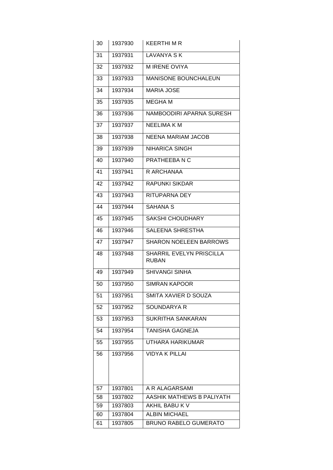| 30 | 1937930 | KEERTHI M R                                     |
|----|---------|-------------------------------------------------|
| 31 | 1937931 | <b>LAVANYA SK</b>                               |
| 32 | 1937932 | <b>MIRENE OVIYA</b>                             |
| 33 | 1937933 | <b>MANISONE BOUNCHALEUN</b>                     |
| 34 | 1937934 | <b>MARIA JOSE</b>                               |
| 35 | 1937935 | <b>MEGHAM</b>                                   |
| 36 | 1937936 | NAMBOODIRI APARNA SURESH                        |
| 37 | 1937937 | <b>NEELIMA K M</b>                              |
| 38 | 1937938 | <b>NEENA MARIAM JACOB</b>                       |
| 39 | 1937939 | <b>NIHARICA SINGH</b>                           |
| 40 | 1937940 | PRATHEEBA N C                                   |
| 41 | 1937941 | R ARCHANAA                                      |
| 42 | 1937942 | <b>RAPUNKI SIKDAR</b>                           |
| 43 | 1937943 | <b>RITUPARNA DEY</b>                            |
| 44 | 1937944 | <b>SAHANA S</b>                                 |
| 45 | 1937945 | <b>SAKSHI CHOUDHARY</b>                         |
| 46 | 1937946 | SALEENA SHRESTHA                                |
| 47 | 1937947 | <b>SHARON NOELEEN BARROWS</b>                   |
| 48 | 1937948 | <b>SHARRIL EVELYN PRISCILLA</b><br><b>RUBAN</b> |
| 49 | 1937949 | <b>SHIVANGI SINHA</b>                           |
| 50 | 1937950 | <b>SIMRAN KAPOOR</b>                            |
| 51 | 1937951 | SMITA XAVIER D SOUZA                            |
| 52 | 1937952 | <b>SOUNDARYA R</b>                              |
| 53 | 1937953 | <b>SUKRITHA SANKARAN</b>                        |
| 54 | 1937954 | TANISHA GAGNEJA                                 |
| 55 | 1937955 | UTHARA HARIKUMAR                                |
| 56 | 1937956 | <b>VIDYA K PILLAI</b>                           |
|    |         |                                                 |
| 57 | 1937801 | A R ALAGARSAMI                                  |
| 58 | 1937802 | AASHIK MATHEWS B PALIYATH                       |
| 59 | 1937803 | AKHIL BABU K V                                  |
| 60 | 1937804 | <b>ALBIN MICHAEL</b>                            |
| 61 | 1937805 | <b>BRUNO RABELO GUMERATO</b>                    |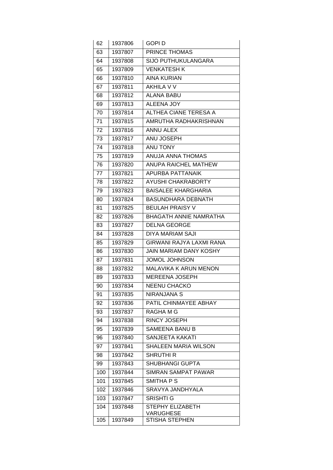| 62  | 1937806 | GOPI D                        |
|-----|---------|-------------------------------|
| 63  | 1937807 | PRINCE THOMAS                 |
| 64  | 1937808 | <b>SIJO PUTHUKULANGARA</b>    |
| 65  | 1937809 | <b>VENKATESH K</b>            |
| 66  | 1937810 | <b>AINA KURIAN</b>            |
| 67  | 1937811 | AKHILA V V                    |
| 68  | 1937812 | <b>ALANA BABU</b>             |
| 69  | 1937813 | <b>ALEENA JOY</b>             |
| 70  | 1937814 | ALTHEA CIANE TERESA A         |
| 71  | 1937815 | AMRUTHA RADHAKRISHNAN         |
| 72  | 1937816 | <b>ANNU ALEX</b>              |
| 73  | 1937817 | ANU JOSEPH                    |
| 74  | 1937818 | ANU TONY                      |
| 75  | 1937819 | <b>ANUJA ANNA THOMAS</b>      |
| 76  | 1937820 | <b>ANUPA RAICHEL MATHEW</b>   |
| 77  | 1937821 | APURBA PATTANAIK              |
| 78  | 1937822 | <b>AYUSHI CHAKRABORTY</b>     |
| 79  | 1937823 | <b>BAISALEE KHARGHARIA</b>    |
| 80  | 1937824 | <b>BASUNDHARA DEBNATH</b>     |
| 81  | 1937825 | <b>BEULAH PRAISY V</b>        |
| 82  | 1937826 | <b>BHAGATH ANNIE NAMRATHA</b> |
| 83  | 1937827 | <b>DELNA GEORGE</b>           |
| 84  | 1937828 | DIYA MARIAM SAJI              |
| 85  | 1937829 | GIRWANI RAJYA LAXMI RANA      |
| 86  | 1937830 | JAIN MARIAM DANY KOSHY        |
| 87  | 1937831 | <b>JOMOL JOHNSON</b>          |
| 88  | 1937832 | <b>MALAVIKA K ARUN MENON</b>  |
| 89  | 1937833 | <b>MEREENA JOSEPH</b>         |
| 90  | 1937834 | <b>NEENU CHACKO</b>           |
| 91  | 1937835 | NIRANJANA S                   |
| 92  | 1937836 | PATIL CHINMAYEE ABHAY         |
| 93  | 1937837 | RAGHA M G                     |
| 94  | 1937838 | RINCY JOSEPH                  |
| 95  | 1937839 | <b>SAMEENA BANU B</b>         |
| 96  | 1937840 | SANJEETA KAKATI               |
| 97  | 1937841 | <b>SHALEEN MARIA WILSON</b>   |
| 98  | 1937842 | <b>SHRUTHI R</b>              |
| 99  | 1937843 | SHUBHANGI GUPTA               |
| 100 | 1937844 | <b>SIMRAN SAMPAT PAWAR</b>    |
| 101 | 1937845 | SMITHA P S                    |
| 102 | 1937846 | SRAVYA JANDHYALA              |
| 103 | 1937847 | SRISHTI G                     |
| 104 | 1937848 | STEPHY ELIZABETH              |
| 105 | 1937849 | VARUGHESE<br>STISHA STEPHEN   |
|     |         |                               |